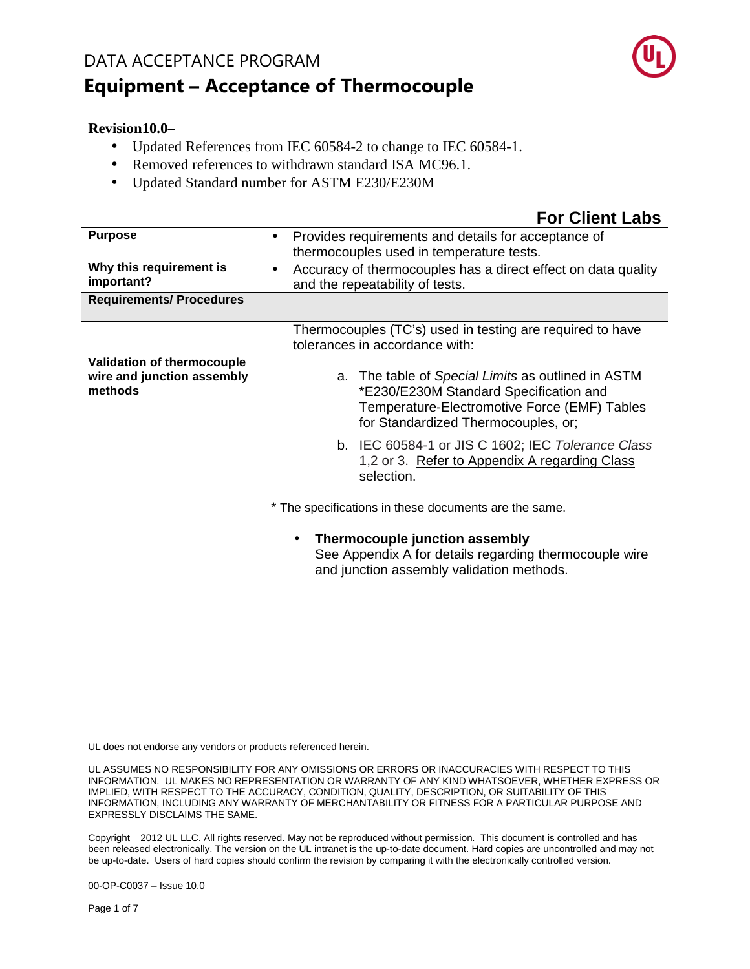

#### **Revision10.0–**

- Updated References from IEC 60584-2 to change to IEC 60584-1.
- Removed references to withdrawn standard ISA MC96.1.
- Updated Standard number for ASTM E230/E230M

### **For Client Labs**

| <b>Purpose</b>                                                             | Provides requirements and details for acceptance of<br>thermocouples used in temperature tests.                                                                                     |
|----------------------------------------------------------------------------|-------------------------------------------------------------------------------------------------------------------------------------------------------------------------------------|
| Why this requirement is<br>important?                                      | Accuracy of thermocouples has a direct effect on data quality<br>$\bullet$<br>and the repeatability of tests.                                                                       |
| <b>Requirements/ Procedures</b>                                            |                                                                                                                                                                                     |
|                                                                            | Thermocouples (TC's) used in testing are required to have<br>tolerances in accordance with:                                                                                         |
| <b>Validation of thermocouple</b><br>wire and junction assembly<br>methods | a. The table of Special Limits as outlined in ASTM<br>*E230/E230M Standard Specification and<br>Temperature-Electromotive Force (EMF) Tables<br>for Standardized Thermocouples, or; |
|                                                                            | b. IEC 60584-1 or JIS C 1602; IEC Tolerance Class<br>1,2 or 3. Refer to Appendix A regarding Class<br>selection.                                                                    |
|                                                                            | * The specifications in these documents are the same.                                                                                                                               |
|                                                                            | Thermocouple junction assembly<br>$\bullet$<br>See Appendix A for details regarding thermocouple wire<br>and junction assembly validation methods.                                  |

UL does not endorse any vendors or products referenced herein.

UL ASSUMES NO RESPONSIBILITY FOR ANY OMISSIONS OR ERRORS OR INACCURACIES WITH RESPECT TO THIS INFORMATION. UL MAKES NO REPRESENTATION OR WARRANTY OF ANY KIND WHATSOEVER, WHETHER EXPRESS OR IMPLIED, WITH RESPECT TO THE ACCURACY, CONDITION, QUALITY, DESCRIPTION, OR SUITABILITY OF THIS INFORMATION, INCLUDING ANY WARRANTY OF MERCHANTABILITY OR FITNESS FOR A PARTICULAR PURPOSE AND EXPRESSLY DISCLAIMS THE SAME.

Copyright 2012 UL LLC. All rights reserved. May not be reproduced without permission. This document is controlled and has been released electronically. The version on the UL intranet is the up-to-date document. Hard copies are uncontrolled and may not be up-to-date. Users of hard copies should confirm the revision by comparing it with the electronically controlled version.

00-OP-C0037 – Issue 10.0

Page 1 of 7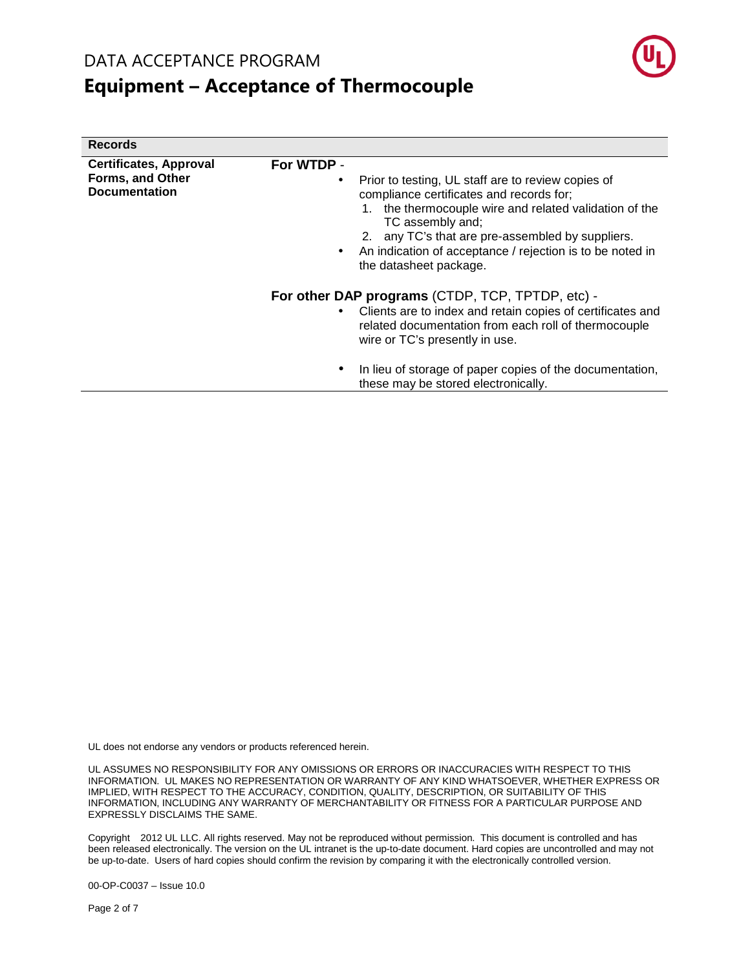**Records** 

# **Equipment – Acceptance of Thermocouple**



| Records                                                                          |                                                                                                                                                                                                                                                                                                                                           |
|----------------------------------------------------------------------------------|-------------------------------------------------------------------------------------------------------------------------------------------------------------------------------------------------------------------------------------------------------------------------------------------------------------------------------------------|
| <b>Certificates, Approval</b><br><b>Forms, and Other</b><br><b>Documentation</b> | For WTDP -                                                                                                                                                                                                                                                                                                                                |
|                                                                                  | Prior to testing, UL staff are to review copies of<br>$\bullet$<br>compliance certificates and records for;<br>1. the thermocouple wire and related validation of the<br>TC assembly and;<br>2. any TC's that are pre-assembled by suppliers.<br>An indication of acceptance / rejection is to be noted in<br>٠<br>the datasheet package. |
|                                                                                  | For other DAP programs (CTDP, TCP, TPTDP, etc) -                                                                                                                                                                                                                                                                                          |
|                                                                                  | Clients are to index and retain copies of certificates and<br>$\bullet$<br>related documentation from each roll of thermocouple<br>wire or TC's presently in use.                                                                                                                                                                         |
|                                                                                  | In lieu of storage of paper copies of the documentation,<br>٠<br>these may be stored electronically.                                                                                                                                                                                                                                      |

UL does not endorse any vendors or products referenced herein.

UL ASSUMES NO RESPONSIBILITY FOR ANY OMISSIONS OR ERRORS OR INACCURACIES WITH RESPECT TO THIS INFORMATION. UL MAKES NO REPRESENTATION OR WARRANTY OF ANY KIND WHATSOEVER, WHETHER EXPRESS OR IMPLIED, WITH RESPECT TO THE ACCURACY, CONDITION, QUALITY, DESCRIPTION, OR SUITABILITY OF THIS INFORMATION, INCLUDING ANY WARRANTY OF MERCHANTABILITY OR FITNESS FOR A PARTICULAR PURPOSE AND EXPRESSLY DISCLAIMS THE SAME.

Copyright @ 2012 UL LLC. All rights reserved. May not be reproduced without permission. This document is controlled and has been released electronically. The version on the UL intranet is the up-to-date document. Hard copies are uncontrolled and may not be up-to-date. Users of hard copies should confirm the revision by comparing it with the electronically controlled version.

00-OP-C0037 – Issue 10.0

Page 2 of 7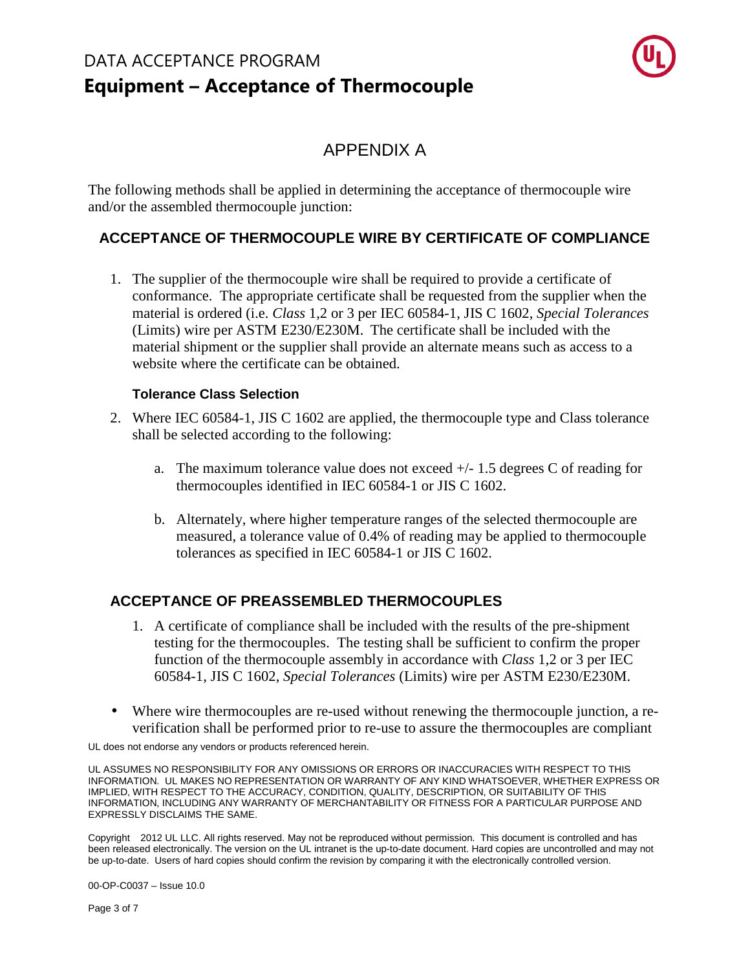

### APPENDIX A

The following methods shall be applied in determining the acceptance of thermocouple wire and/or the assembled thermocouple junction:

### **ACCEPTANCE OF THERMOCOUPLE WIRE BY CERTIFICATE OF COMPLIANCE**

1. The supplier of the thermocouple wire shall be required to provide a certificate of conformance. The appropriate certificate shall be requested from the supplier when the material is ordered (i.e. *Class* 1,2 or 3 per IEC 60584-1, JIS C 1602, *Special Tolerances*  (Limits) wire per ASTM E230/E230M. The certificate shall be included with the material shipment or the supplier shall provide an alternate means such as access to a website where the certificate can be obtained.

#### **Tolerance Class Selection**

- 2. Where IEC 60584-1, JIS C 1602 are applied, the thermocouple type and Class tolerance shall be selected according to the following:
	- a. The maximum tolerance value does not exceed  $+/- 1.5$  degrees C of reading for thermocouples identified in IEC 60584-1 or JIS C 1602.
	- b. Alternately, where higher temperature ranges of the selected thermocouple are measured, a tolerance value of 0.4% of reading may be applied to thermocouple tolerances as specified in IEC 60584-1 or JIS C 1602.

#### **ACCEPTANCE OF PREASSEMBLED THERMOCOUPLES**

- 1. A certificate of compliance shall be included with the results of the pre-shipment testing for the thermocouples. The testing shall be sufficient to confirm the proper function of the thermocouple assembly in accordance with *Class* 1,2 or 3 per IEC 60584-1, JIS C 1602, *Special Tolerances* (Limits) wire per ASTM E230/E230M.
- Where wire thermocouples are re-used without renewing the thermocouple junction, a reverification shall be performed prior to re-use to assure the thermocouples are compliant

UL does not endorse any vendors or products referenced herein.

UL ASSUMES NO RESPONSIBILITY FOR ANY OMISSIONS OR ERRORS OR INACCURACIES WITH RESPECT TO THIS INFORMATION. UL MAKES NO REPRESENTATION OR WARRANTY OF ANY KIND WHATSOEVER, WHETHER EXPRESS OR IMPLIED, WITH RESPECT TO THE ACCURACY, CONDITION, QUALITY, DESCRIPTION, OR SUITABILITY OF THIS INFORMATION, INCLUDING ANY WARRANTY OF MERCHANTABILITY OR FITNESS FOR A PARTICULAR PURPOSE AND EXPRESSLY DISCLAIMS THE SAME.

Copyright 2012 UL LLC. All rights reserved. May not be reproduced without permission. This document is controlled and has been released electronically. The version on the UL intranet is the up-to-date document. Hard copies are uncontrolled and may not be up-to-date. Users of hard copies should confirm the revision by comparing it with the electronically controlled version.

00-OP-C0037 – Issue 10.0

Page 3 of 7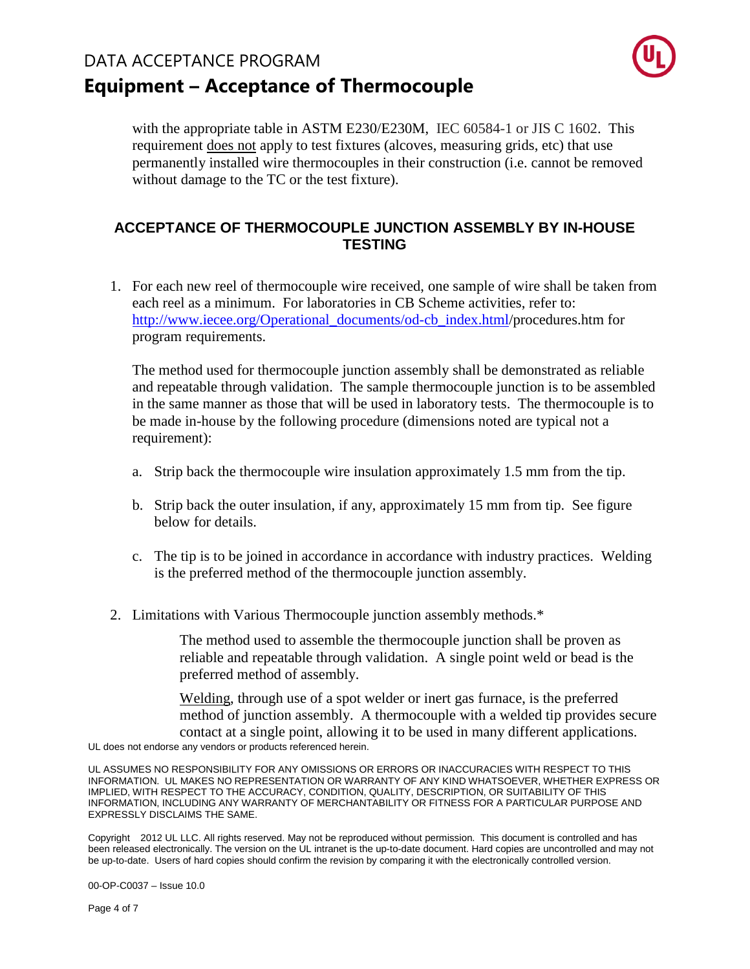

with the appropriate table in ASTM E230/E230M, IEC 60584-1 or JIS C 1602. This requirement does not apply to test fixtures (alcoves, measuring grids, etc) that use permanently installed wire thermocouples in their construction (i.e. cannot be removed without damage to the TC or the test fixture).

### **ACCEPTANCE OF THERMOCOUPLE JUNCTION ASSEMBLY BY IN-HOUSE TESTING**

1. For each new reel of thermocouple wire received, one sample of wire shall be taken from each reel as a minimum. For laboratories in CB Scheme activities, refer to: http://www.iecee.org/Operational\_documents/od-cb\_index.html/procedures.htm for program requirements.

The method used for thermocouple junction assembly shall be demonstrated as reliable and repeatable through validation. The sample thermocouple junction is to be assembled in the same manner as those that will be used in laboratory tests. The thermocouple is to be made in-house by the following procedure (dimensions noted are typical not a requirement):

- a. Strip back the thermocouple wire insulation approximately 1.5 mm from the tip.
- b. Strip back the outer insulation, if any, approximately 15 mm from tip. See figure below for details.
- c. The tip is to be joined in accordance in accordance with industry practices. Welding is the preferred method of the thermocouple junction assembly.
- 2. Limitations with Various Thermocouple junction assembly methods.\*

The method used to assemble the thermocouple junction shall be proven as reliable and repeatable through validation. A single point weld or bead is the preferred method of assembly.

Welding, through use of a spot welder or inert gas furnace, is the preferred method of junction assembly. A thermocouple with a welded tip provides secure contact at a single point, allowing it to be used in many different applications.

UL does not endorse any vendors or products referenced herein.

UL ASSUMES NO RESPONSIBILITY FOR ANY OMISSIONS OR ERRORS OR INACCURACIES WITH RESPECT TO THIS INFORMATION. UL MAKES NO REPRESENTATION OR WARRANTY OF ANY KIND WHATSOEVER, WHETHER EXPRESS OR IMPLIED, WITH RESPECT TO THE ACCURACY, CONDITION, QUALITY, DESCRIPTION, OR SUITABILITY OF THIS INFORMATION, INCLUDING ANY WARRANTY OF MERCHANTABILITY OR FITNESS FOR A PARTICULAR PURPOSE AND EXPRESSLY DISCLAIMS THE SAME.

Copyright 2012 UL LLC. All rights reserved. May not be reproduced without permission. This document is controlled and has been released electronically. The version on the UL intranet is the up-to-date document. Hard copies are uncontrolled and may not be up-to-date. Users of hard copies should confirm the revision by comparing it with the electronically controlled version.

00-OP-C0037 – Issue 10.0

Page 4 of 7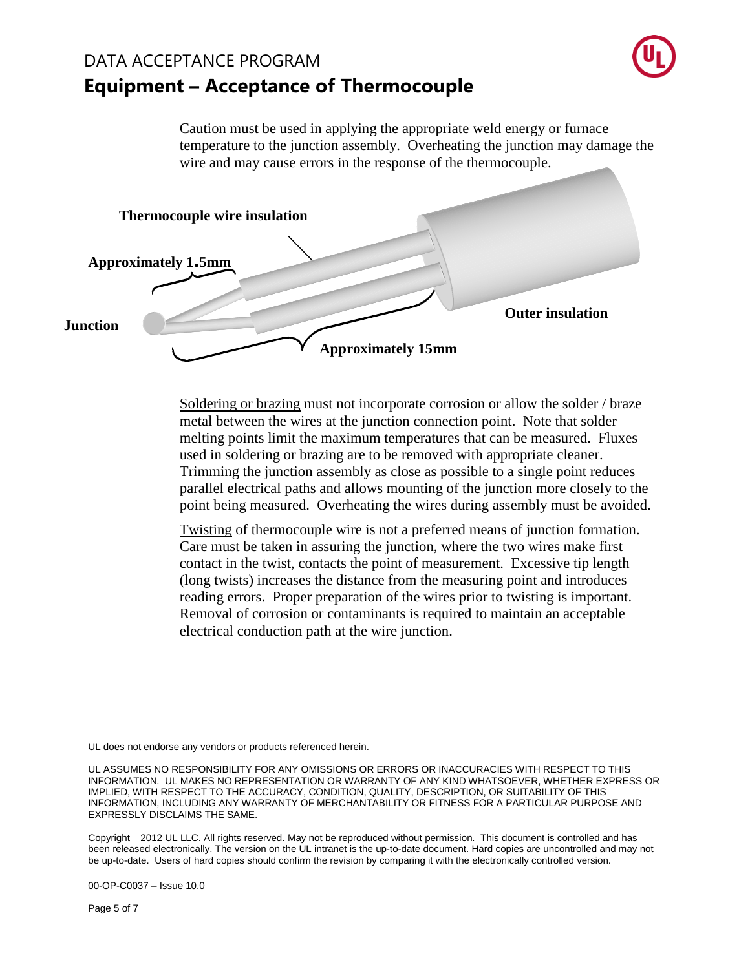

Caution must be used in applying the appropriate weld energy or furnace temperature to the junction assembly. Overheating the junction may damage the wire and may cause errors in the response of the thermocouple.



Soldering or brazing must not incorporate corrosion or allow the solder / braze metal between the wires at the junction connection point. Note that solder melting points limit the maximum temperatures that can be measured. Fluxes used in soldering or brazing are to be removed with appropriate cleaner. Trimming the junction assembly as close as possible to a single point reduces parallel electrical paths and allows mounting of the junction more closely to the point being measured. Overheating the wires during assembly must be avoided.

Twisting of thermocouple wire is not a preferred means of junction formation. Care must be taken in assuring the junction, where the two wires make first contact in the twist, contacts the point of measurement. Excessive tip length (long twists) increases the distance from the measuring point and introduces reading errors. Proper preparation of the wires prior to twisting is important. Removal of corrosion or contaminants is required to maintain an acceptable electrical conduction path at the wire junction.

UL does not endorse any vendors or products referenced herein.

UL ASSUMES NO RESPONSIBILITY FOR ANY OMISSIONS OR ERRORS OR INACCURACIES WITH RESPECT TO THIS INFORMATION. UL MAKES NO REPRESENTATION OR WARRANTY OF ANY KIND WHATSOEVER, WHETHER EXPRESS OR IMPLIED, WITH RESPECT TO THE ACCURACY, CONDITION, QUALITY, DESCRIPTION, OR SUITABILITY OF THIS INFORMATION, INCLUDING ANY WARRANTY OF MERCHANTABILITY OR FITNESS FOR A PARTICULAR PURPOSE AND EXPRESSLY DISCLAIMS THE SAME.

Copyright 2012 UL LLC. All rights reserved. May not be reproduced without permission. This document is controlled and has been released electronically. The version on the UL intranet is the up-to-date document. Hard copies are uncontrolled and may not be up-to-date. Users of hard copies should confirm the revision by comparing it with the electronically controlled version.

00-OP-C0037 – Issue 10.0

Page 5 of 7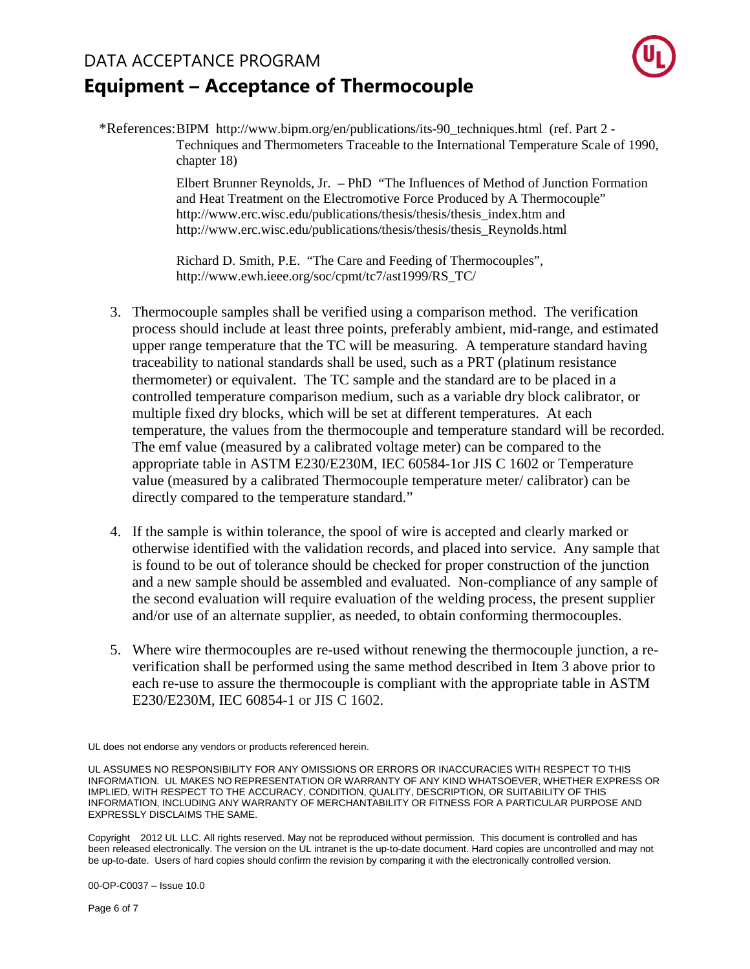

\*References: BIPM http://www.bipm.org/en/publications/its-90\_techniques.html (ref. Part 2 - Techniques and Thermometers Traceable to the International Temperature Scale of 1990, chapter 18)

> Elbert Brunner Reynolds, Jr. – PhD "The Influences of Method of Junction Formation and Heat Treatment on the Electromotive Force Produced by A Thermocouple" http://www.erc.wisc.edu/publications/thesis/thesis/thesis\_index.htm and http://www.erc.wisc.edu/publications/thesis/thesis/thesis\_Reynolds.html

Richard D. Smith, P.E. "The Care and Feeding of Thermocouples", http://www.ewh.ieee.org/soc/cpmt/tc7/ast1999/RS\_TC/

- 3. Thermocouple samples shall be verified using a comparison method. The verification process should include at least three points, preferably ambient, mid-range, and estimated upper range temperature that the TC will be measuring. A temperature standard having traceability to national standards shall be used, such as a PRT (platinum resistance thermometer) or equivalent. The TC sample and the standard are to be placed in a controlled temperature comparison medium, such as a variable dry block calibrator, or multiple fixed dry blocks, which will be set at different temperatures. At each temperature, the values from the thermocouple and temperature standard will be recorded. The emf value (measured by a calibrated voltage meter) can be compared to the appropriate table in ASTM E230/E230M, IEC 60584-1or JIS C 1602 or Temperature value (measured by a calibrated Thermocouple temperature meter/ calibrator) can be directly compared to the temperature standard."
- 4. If the sample is within tolerance, the spool of wire is accepted and clearly marked or otherwise identified with the validation records, and placed into service. Any sample that is found to be out of tolerance should be checked for proper construction of the junction and a new sample should be assembled and evaluated. Non-compliance of any sample of the second evaluation will require evaluation of the welding process, the present supplier and/or use of an alternate supplier, as needed, to obtain conforming thermocouples.
- 5. Where wire thermocouples are re-used without renewing the thermocouple junction, a reverification shall be performed using the same method described in Item 3 above prior to each re-use to assure the thermocouple is compliant with the appropriate table in ASTM E230/E230M, IEC 60854-1 or JIS C 1602.

Copyright 2012 UL LLC. All rights reserved. May not be reproduced without permission. This document is controlled and has been released electronically. The version on the UL intranet is the up-to-date document. Hard copies are uncontrolled and may not be up-to-date. Users of hard copies should confirm the revision by comparing it with the electronically controlled version.

00-OP-C0037 – Issue 10.0

Page 6 of 7

UL does not endorse any vendors or products referenced herein.

UL ASSUMES NO RESPONSIBILITY FOR ANY OMISSIONS OR ERRORS OR INACCURACIES WITH RESPECT TO THIS INFORMATION. UL MAKES NO REPRESENTATION OR WARRANTY OF ANY KIND WHATSOEVER, WHETHER EXPRESS OR IMPLIED, WITH RESPECT TO THE ACCURACY, CONDITION, QUALITY, DESCRIPTION, OR SUITABILITY OF THIS INFORMATION, INCLUDING ANY WARRANTY OF MERCHANTABILITY OR FITNESS FOR A PARTICULAR PURPOSE AND EXPRESSLY DISCLAIMS THE SAME.